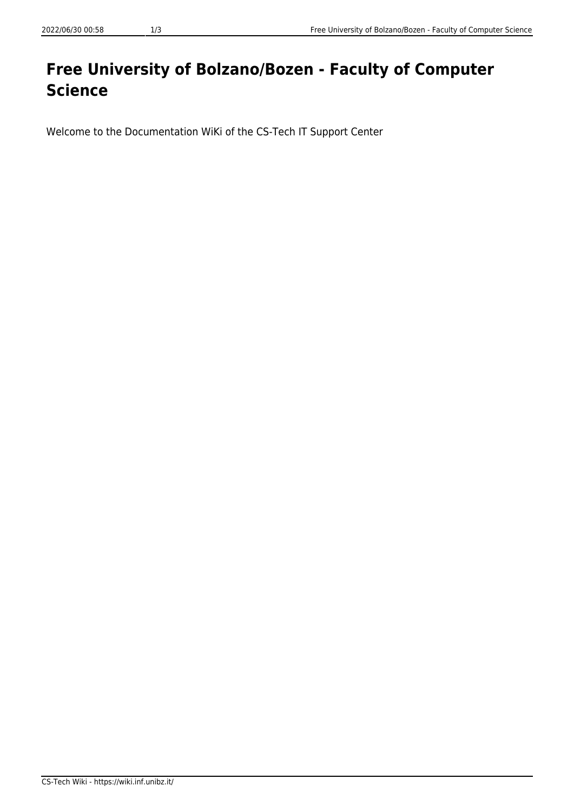## **Free University of Bolzano/Bozen - Faculty of Computer Science**

Welcome to the Documentation WiKi of the CS-Tech IT Support Center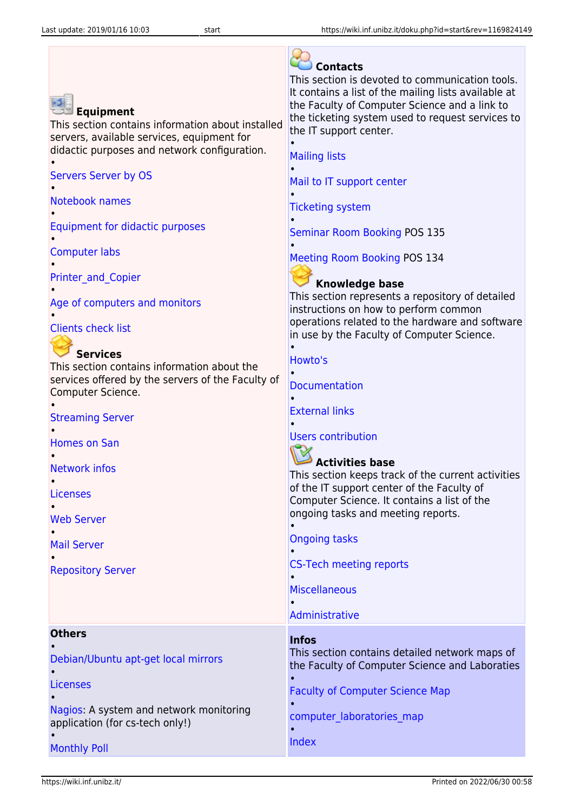| <b>Equipment</b><br>This section contains information about installed<br>servers, available services, equipment for<br>didactic purposes and network configuration.<br><b>Servers Server by OS</b><br>Notebook names<br>Equipment for didactic purposes<br><b>Computer labs</b><br><b>Printer and Copier</b><br>Age of computers and monitors<br><b>Clients check list</b><br><b>Services</b><br>This section contains information about the<br>services offered by the servers of the Faculty of<br>Computer Science.<br><b>Streaming Server</b><br><b>Homes on San</b><br><b>Network infos</b><br>Licenses<br><b>Web Server</b><br><b>Mail Server</b><br><b>Repository Server</b> | <b>Contacts</b><br>This section is devoted to communication tools.<br>It contains a list of the mailing lists available at<br>the Faculty of Computer Science and a link to<br>the ticketing system used to request services to<br>the IT support center.<br><b>Mailing lists</b><br>Mail to IT support center<br><b>Ticketing system</b><br><b>Seminar Room Booking POS 135</b><br><b>Meeting Room Booking POS 134</b><br><b>Knowledge base</b><br>This section represents a repository of detailed<br>instructions on how to perform common<br>operations related to the hardware and software<br>in use by the Faculty of Computer Science.<br>Howto's<br><b>Documentation</b><br><b>External links</b><br><b>Users contribution</b><br><b>Activities base</b><br>This section keeps track of the current activities<br>of the IT support center of the Faculty of<br>Computer Science. It contains a list of the<br>ongoing tasks and meeting reports.<br><b>Ongoing tasks</b><br><b>CS-Tech meeting reports</b><br><b>Miscellaneous</b> |
|-------------------------------------------------------------------------------------------------------------------------------------------------------------------------------------------------------------------------------------------------------------------------------------------------------------------------------------------------------------------------------------------------------------------------------------------------------------------------------------------------------------------------------------------------------------------------------------------------------------------------------------------------------------------------------------|----------------------------------------------------------------------------------------------------------------------------------------------------------------------------------------------------------------------------------------------------------------------------------------------------------------------------------------------------------------------------------------------------------------------------------------------------------------------------------------------------------------------------------------------------------------------------------------------------------------------------------------------------------------------------------------------------------------------------------------------------------------------------------------------------------------------------------------------------------------------------------------------------------------------------------------------------------------------------------------------------------------------------------------------|
|                                                                                                                                                                                                                                                                                                                                                                                                                                                                                                                                                                                                                                                                                     | Administrative                                                                                                                                                                                                                                                                                                                                                                                                                                                                                                                                                                                                                                                                                                                                                                                                                                                                                                                                                                                                                               |
| <b>Others</b><br>Debian/Ubuntu apt-get local mirrors<br><b>Licenses</b><br>Nagios: A system and network monitoring<br>application (for cs-tech only!)                                                                                                                                                                                                                                                                                                                                                                                                                                                                                                                               | <b>Infos</b><br>This section contains detailed network maps of<br>the Faculty of Computer Science and Laboraties<br><b>Faculty of Computer Science Map</b><br>computer laboratories map                                                                                                                                                                                                                                                                                                                                                                                                                                                                                                                                                                                                                                                                                                                                                                                                                                                      |
| <b>Monthly Poll</b>                                                                                                                                                                                                                                                                                                                                                                                                                                                                                                                                                                                                                                                                 | Index                                                                                                                                                                                                                                                                                                                                                                                                                                                                                                                                                                                                                                                                                                                                                                                                                                                                                                                                                                                                                                        |